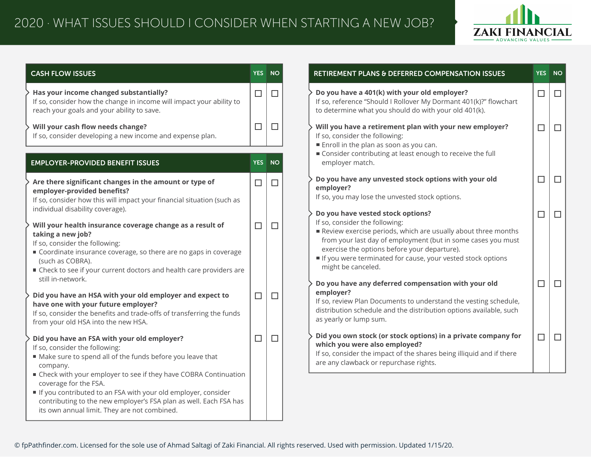

| <b>CASH FLOW ISSUES</b>                                                                                                                                                                                                                                                                                                                  |        | YES NO | RETIREMENT PLANS & DEFERRED COMPENSATION ISSUES                                                                                                                                                                                                                                                                                           | YES NO |
|------------------------------------------------------------------------------------------------------------------------------------------------------------------------------------------------------------------------------------------------------------------------------------------------------------------------------------------|--------|--------|-------------------------------------------------------------------------------------------------------------------------------------------------------------------------------------------------------------------------------------------------------------------------------------------------------------------------------------------|--------|
| Has your income changed substantially?<br>If so, consider how the change in income will impact your ability to<br>reach your goals and your ability to save.                                                                                                                                                                             | $\Box$ | $\Box$ | Do you have a 401(k) with your old employer?<br>If so, reference "Should I Rollover My Dormant 401(k)?" flowchart<br>to determine what you should do with your old 401(k).                                                                                                                                                                | $\Box$ |
| Will your cash flow needs change?<br>If so, consider developing a new income and expense plan.                                                                                                                                                                                                                                           | $\Box$ | $\Box$ | Will you have a retirement plan with your new employer?<br>If so, consider the following:<br>Enroll in the plan as soon as you can.                                                                                                                                                                                                       | $\Box$ |
| <b>EMPLOYER-PROVIDED BENEFIT ISSUES</b>                                                                                                                                                                                                                                                                                                  |        | YES NO | ■ Consider contributing at least enough to receive the full<br>employer match.                                                                                                                                                                                                                                                            |        |
| Are there significant changes in the amount or type of<br>employer-provided benefits?<br>If so, consider how this will impact your financial situation (such as                                                                                                                                                                          | $\Box$ | П      | Do you have any unvested stock options with your old<br>employer?<br>If so, you may lose the unvested stock options.                                                                                                                                                                                                                      | □      |
| individual disability coverage).<br>Will your health insurance coverage change as a result of<br>taking a new job?<br>If so, consider the following:<br>Coordinate insurance coverage, so there are no gaps in coverage<br>(such as COBRA).<br>■ Check to see if your current doctors and health care providers are<br>still in-network. | $\Box$ | П      | Do you have vested stock options?<br>If so, consider the following:<br>Review exercise periods, which are usually about three months<br>from your last day of employment (but in some cases you must<br>exercise the options before your departure).<br>If you were terminated for cause, your vested stock options<br>might be canceled. | $\Box$ |
| Did you have an HSA with your old employer and expect to<br>have one with your future employer?<br>If so, consider the benefits and trade-offs of transferring the funds<br>from your old HSA into the new HSA.                                                                                                                          | □      | $\Box$ | Do you have any deferred compensation with your old<br>employer?<br>If so, review Plan Documents to understand the vesting schedule,<br>distribution schedule and the distribution options available, such<br>as yearly or lump sum.                                                                                                      | $\Box$ |
| Did you have an FSA with your old employer?<br>If so, consider the following:<br>Make sure to spend all of the funds before you leave that<br>company.<br>■ Check with your employer to see if they have COBRA Continuation                                                                                                              | $\Box$ | $\Box$ | Did you own stock (or stock options) in a private company for<br>which you were also employed?<br>If so, consider the impact of the shares being illiquid and if there<br>are any clawback or repurchase rights.                                                                                                                          | $\Box$ |
| coverage for the FSA.<br>If you contributed to an FSA with your old employer, consider<br>contributing to the new employer's FSA plan as well. Each FSA has<br>its own annual limit. They are not combined.                                                                                                                              |        |        |                                                                                                                                                                                                                                                                                                                                           |        |